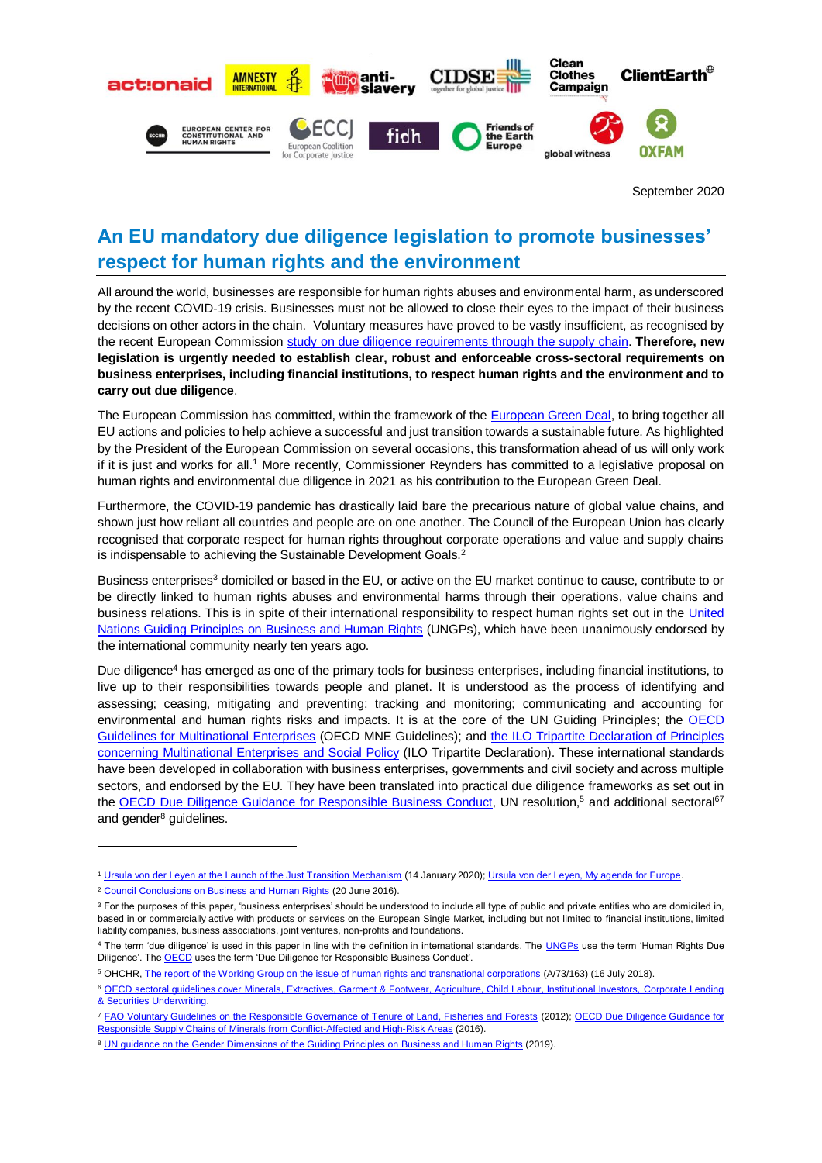

September 2020

# **An EU mandatory due diligence legislation to promote businesses' respect for human rights and the environment**

All around the world, businesses are responsible for human rights abuses and environmental harm, as underscored by the recent COVID-19 crisis. Businesses must not be allowed to close their eyes to the impact of their business decisions on other actors in the chain. Voluntary measures have proved to be vastly insufficient, as recognised by the recent European Commission [study on due diligence requirements through the supply chain.](https://op.europa.eu/en/publication-detail/-/publication/8ba0a8fd-4c83-11ea-b8b7-01aa75ed71a1/language-en) **Therefore, new legislation is urgently needed to establish clear, robust and enforceable cross-sectoral requirements on business enterprises, including financial institutions, to respect human rights and the environment and to carry out due diligence**.

The European Commission has committed, within the framework of the [European Green Deal,](https://ec.europa.eu/info/sites/info/files/european-green-deal-communication_en.pdf) to bring together all EU actions and policies to help achieve a successful and just transition towards a sustainable future. As highlighted by the President of the European Commission on several occasions, this transformation ahead of us will only work if it is just and works for all.<sup>1</sup> More recently, Commissioner Reynders has committed to a legislative proposal on human rights and environmental due diligence in 2021 as his contribution to the European Green Deal.

Furthermore, the COVID-19 pandemic has drastically laid bare the precarious nature of global value chains, and shown just how reliant all countries and people are on one another. The Council of the European Union has clearly recognised that corporate respect for human rights throughout corporate operations and value and supply chains is indispensable to achieving the Sustainable Development Goals.<sup>2</sup>

Business enterprises<sup>3</sup> domiciled or based in the EU, or active on the EU market continue to cause, contribute to or be directly linked to human rights abuses and environmental harms through their operations, value chains and business relations. This is in spite of their international responsibility to respect human rights set out in the [United](https://www.ohchr.org/documents/publications/guidingprinciplesbusinesshr_en.pdf)  [Nations Guiding Principles on Business and Human Rights](https://www.ohchr.org/documents/publications/guidingprinciplesbusinesshr_en.pdf) (UNGPs), which have been unanimously endorsed by the international community nearly ten years ago.

Due diligence<sup>4</sup> has emerged as one of the primary tools for business enterprises, including financial institutions, to live up to their responsibilities towards people and planet. It is understood as the process of identifying and assessing; ceasing, mitigating and preventing; tracking and monitoring; communicating and accounting for environmental and human rights risks and impacts. It is at the core of the UN Guiding Principles; the OECD [Guidelines for Multinational Enterprises](http://mneguidelines.oecd.org/guidelines/) (OECD MNE Guidelines); and [the ILO Tripartite Declaration of Principles](https://www.ilo.org/empent/Publications/WCMS_094386/lang--en/index.htm)  [concerning Multinational Enterprises and Social Policy](https://www.ilo.org/empent/Publications/WCMS_094386/lang--en/index.htm) (ILO Tripartite Declaration). These international standards have been developed in collaboration with business enterprises, governments and civil society and across multiple sectors, and endorsed by the EU. They have been translated into practical due diligence frameworks as set out in the [OECD Due Diligence Guidance for Responsible Business Conduct,](http://mneguidelines.oecd.org/due-diligence-guidance-for-responsible-business-conduct.htm) UN resolution,<sup>5</sup> and additional sectoral<sup>67</sup> and gender<sup>8</sup> guidelines.

**.** 

<sup>1</sup> [Ursula von der Leyen at the Launch of the Just Transition Mechanism](https://ec.europa.eu/info/news/launching-just-transition-mechanism-green-transition-based-solidarity-and-fairness-2020-jan-15_en) (14 January 2020); [Ursula von der Leyen, My agenda for Europe.](https://ec.europa.eu/commission/sites/beta-political/files/political-guidelines-next-commission_en.pdf)

<sup>&</sup>lt;sup>2</sup> [Council Conclusions on Business and Human Rights](https://ec.europa.eu/anti-trafficking/publications/council-conclusions-business-and-human-rights-foreign-affairs-council_en) (20 June 2016).

<sup>&</sup>lt;sup>3</sup> For the purposes of this paper, 'business enterprises' should be understood to include all type of public and private entities who are domiciled in, based in or commercially active with products or services on the European Single Market, including but not limited to financial institutions, limited liability companies, business associations, joint ventures, non-profits and foundations.

<sup>&</sup>lt;sup>4</sup> The term 'due diligence' is used in this paper in line with the definition in international standards. The [UNGPs](https://www.ohchr.org/documents/publications/guidingprinciplesbusinesshr_en.pdf) use the term 'Human Rights Due Diligence'. Th[e OECD](http://mneguidelines.oecd.org/guidelines/) uses the term 'Due Diligence for Responsible Business Conduct'.

<sup>5</sup> OHCHR, [The report of the Working Group on the issue of human rights and transnational corporations](https://www.ohchr.org/EN/NewsEvents/Pages/DisplayNews.aspx?NewsID=25758&LangID=Eps://www.ohchr.org/EN/NewsEvents/Pages/DisplayNews.aspx?NewsID=25758&LangID=E) (A/73/163) (16 July 2018).

<sup>6</sup> [OECD sectoral guidelines cover Minerals, Extractives, Garment & Footwear, Agriculture, Child Labour, Institutional Investors,](http://mneguidelines.oecd.org/guidelines/) Corporate Lending [& Securities Underwriting.](http://mneguidelines.oecd.org/guidelines/)

<sup>&</sup>lt;sup>7</sup> [FAO Voluntary Guidelines on the Responsible Governance of Tenure of Land, Fisheries and Forests](http://www.fao.org/3/a-i2801e.pdf) (2012); OECD Due Diligence Guidance for [Responsible Supply Chains of Minerals from Conflict-Affected and High-Risk Areas](https://www.oecd.org/corporate/mne/mining.htm) (2016).

<sup>8</sup> [UN guidance on the Gender Dimensions of the Guiding Principles on Business and Human Rights](https://www.ohchr.org/Documents/Issues/Business/BookletGenderDimensionsGuidingPrinciples.pdf) (2019).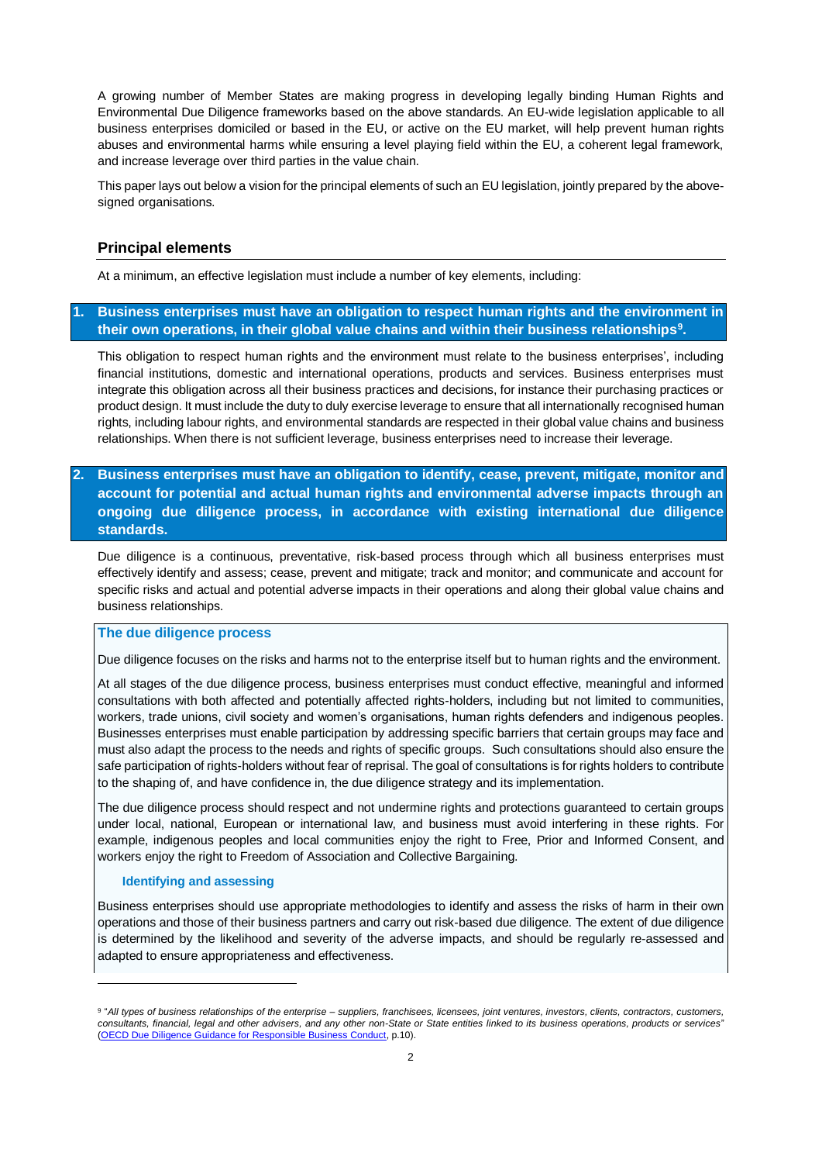A growing number of Member States are making progress in developing legally binding Human Rights and Environmental Due Diligence frameworks based on the above standards. An EU-wide legislation applicable to all business enterprises domiciled or based in the EU, or active on the EU market, will help prevent human rights abuses and environmental harms while ensuring a level playing field within the EU, a coherent legal framework, and increase leverage over third parties in the value chain.

This paper lays out below a vision for the principal elements of such an EU legislation, jointly prepared by the abovesigned organisations.

### **Principal elements**

At a minimum, an effective legislation must include a number of key elements, including:

# **1. Business enterprises must have an obligation to respect human rights and the environment in their own operations, in their global value chains and within their business relationships<sup>9</sup> .**

This obligation to respect human rights and the environment must relate to the business enterprises', including financial institutions, domestic and international operations, products and services. Business enterprises must integrate this obligation across all their business practices and decisions, for instance their purchasing practices or product design. It must include the duty to duly exercise leverage to ensure that all internationally recognised human rights, including labour rights, and environmental standards are respected in their global value chains and business relationships. When there is not sufficient leverage, business enterprises need to increase their leverage.

# **2. Business enterprises must have an obligation to identify, cease, prevent, mitigate, monitor and account for potential and actual human rights and environmental adverse impacts through an ongoing due diligence process, in accordance with existing international due diligence standards.**

Due diligence is a continuous, preventative, risk-based process through which all business enterprises must effectively identify and assess; cease, prevent and mitigate; track and monitor; and communicate and account for specific risks and actual and potential adverse impacts in their operations and along their global value chains and business relationships.

### **The due diligence process**

Due diligence focuses on the risks and harms not to the enterprise itself but to human rights and the environment.

At all stages of the due diligence process, business enterprises must conduct effective, meaningful and informed consultations with both affected and potentially affected rights-holders, including but not limited to communities, workers, trade unions, civil society and women's organisations, human rights defenders and indigenous peoples. Businesses enterprises must enable participation by addressing specific barriers that certain groups may face and must also adapt the process to the needs and rights of specific groups. Such consultations should also ensure the safe participation of rights-holders without fear of reprisal. The goal of consultations is for rights holders to contribute to the shaping of, and have confidence in, the due diligence strategy and its implementation.

The due diligence process should respect and not undermine rights and protections guaranteed to certain groups under local, national, European or international law, and business must avoid interfering in these rights. For example, indigenous peoples and local communities enjoy the right to Free, Prior and Informed Consent, and workers enjoy the right to Freedom of Association and Collective Bargaining.

### **Identifying and assessing**

1

Business enterprises should use appropriate methodologies to identify and assess the risks of harm in their own operations and those of their business partners and carry out risk-based due diligence. The extent of due diligence is determined by the likelihood and severity of the adverse impacts, and should be regularly re-assessed and adapted to ensure appropriateness and effectiveness.

<sup>9</sup> "*All types of business relationships of the enterprise – suppliers, franchisees, licensees, joint ventures, investors, clients, contractors, customers, consultants, financial, legal and other advisers, and any other non-State or State entities linked to its business operations, products or services*" [\(OECD Due Diligence Guidance for Responsible Business Conduct,](http://mneguidelines.oecd.org/OECD-Due-Diligence-Guidance-for-Responsible-Business-Conduct.pdf) p.10).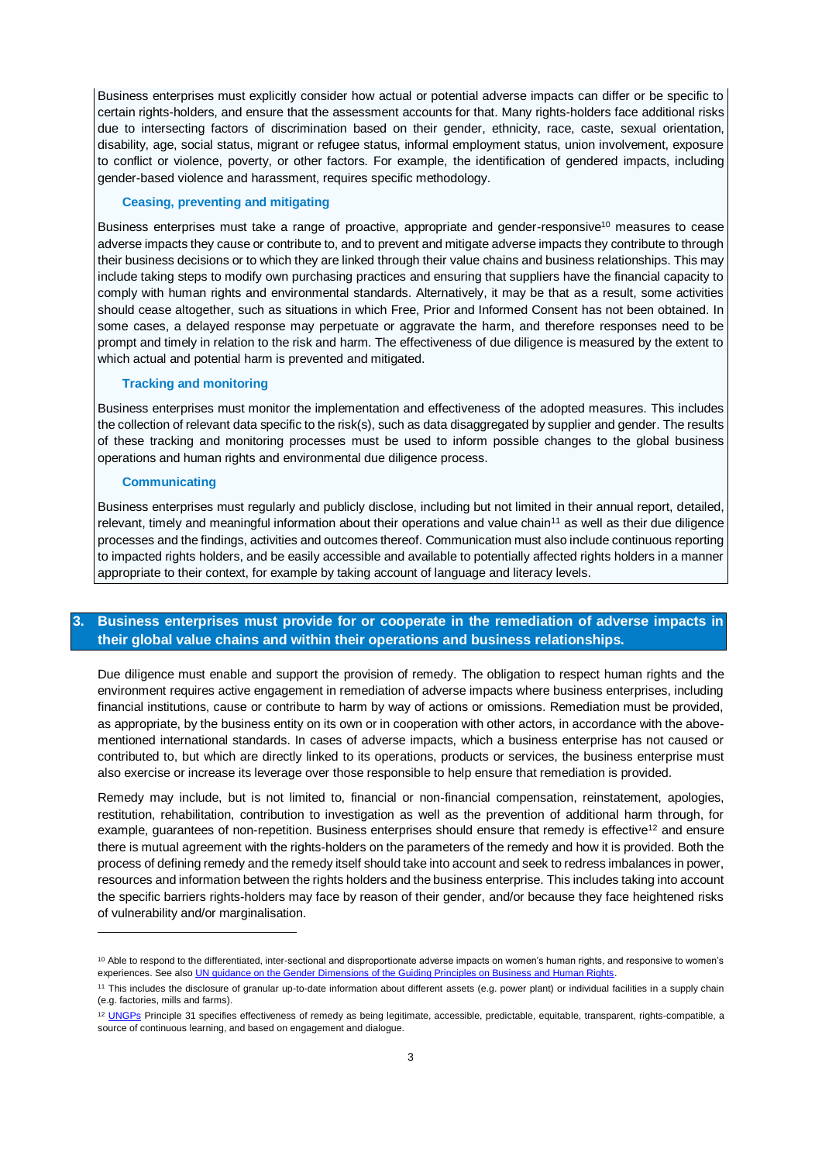Business enterprises must explicitly consider how actual or potential adverse impacts can differ or be specific to certain rights-holders, and ensure that the assessment accounts for that. Many rights-holders face additional risks due to intersecting factors of discrimination based on their gender, ethnicity, race, caste, sexual orientation, disability, age, social status, migrant or refugee status, informal employment status, union involvement, exposure to conflict or violence, poverty, or other factors. For example, the identification of gendered impacts, including gender-based violence and harassment, requires specific methodology.

#### **Ceasing, preventing and mitigating**

Business enterprises must take a range of proactive, appropriate and gender-responsive<sup>10</sup> measures to cease adverse impacts they cause or contribute to, and to prevent and mitigate adverse impacts they contribute to through their business decisions or to which they are linked through their value chains and business relationships. This may include taking steps to modify own purchasing practices and ensuring that suppliers have the financial capacity to comply with human rights and environmental standards. Alternatively, it may be that as a result, some activities should cease altogether, such as situations in which Free, Prior and Informed Consent has not been obtained. In some cases, a delayed response may perpetuate or aggravate the harm, and therefore responses need to be prompt and timely in relation to the risk and harm. The effectiveness of due diligence is measured by the extent to which actual and potential harm is prevented and mitigated.

### **Tracking and monitoring**

Business enterprises must monitor the implementation and effectiveness of the adopted measures. This includes the collection of relevant data specific to the risk(s), such as data disaggregated by supplier and gender. The results of these tracking and monitoring processes must be used to inform possible changes to the global business operations and human rights and environmental due diligence process.

#### **Communicating**

**.** 

Business enterprises must regularly and publicly disclose, including but not limited in their annual report, detailed, relevant, timely and meaningful information about their operations and value chain<sup>11</sup> as well as their due diligence processes and the findings, activities and outcomes thereof. Communication must also include continuous reporting to impacted rights holders, and be easily accessible and available to potentially affected rights holders in a manner appropriate to their context, for example by taking account of language and literacy levels.

### **3. Business enterprises must provide for or cooperate in the remediation of adverse impacts in their global value chains and within their operations and business relationships.**

Due diligence must enable and support the provision of remedy. The obligation to respect human rights and the environment requires active engagement in remediation of adverse impacts where business enterprises, including financial institutions, cause or contribute to harm by way of actions or omissions. Remediation must be provided, as appropriate, by the business entity on its own or in cooperation with other actors, in accordance with the abovementioned international standards. In cases of adverse impacts, which a business enterprise has not caused or contributed to, but which are directly linked to its operations, products or services, the business enterprise must also exercise or increase its leverage over those responsible to help ensure that remediation is provided.

Remedy may include, but is not limited to, financial or non-financial compensation, reinstatement, apologies, restitution, rehabilitation, contribution to investigation as well as the prevention of additional harm through, for example, guarantees of non-repetition. Business enterprises should ensure that remedy is effective<sup>12</sup> and ensure there is mutual agreement with the rights-holders on the parameters of the remedy and how it is provided. Both the process of defining remedy and the remedy itself should take into account and seek to redress imbalances in power, resources and information between the rights holders and the business enterprise. This includes taking into account the specific barriers rights-holders may face by reason of their gender, and/or because they face heightened risks of vulnerability and/or marginalisation.

<sup>10</sup> Able to respond to the differentiated, inter-sectional and disproportionate adverse impacts on women's human rights, and responsive to women's experiences. See als[o UN guidance on the Gender Dimensions of the Guiding Principles on Business and Human Rights.](https://www.ohchr.org/Documents/Issues/Business/BookletGenderDimensionsGuidingPrinciples.pdf)

<sup>11</sup> This includes the disclosure of granular up-to-date information about different assets (e.g. power plant) or individual facilities in a supply chain (e.g. factories, mills and farms).

<sup>&</sup>lt;sup>12</sup> [UNGPs](https://www.ohchr.org/documents/publications/guidingprinciplesbusinesshr_en.pdf) Principle 31 specifies effectiveness of remedy as being legitimate, accessible, predictable, equitable, transparent, rights-compatible, a source of continuous learning, and based on engagement and dialogue.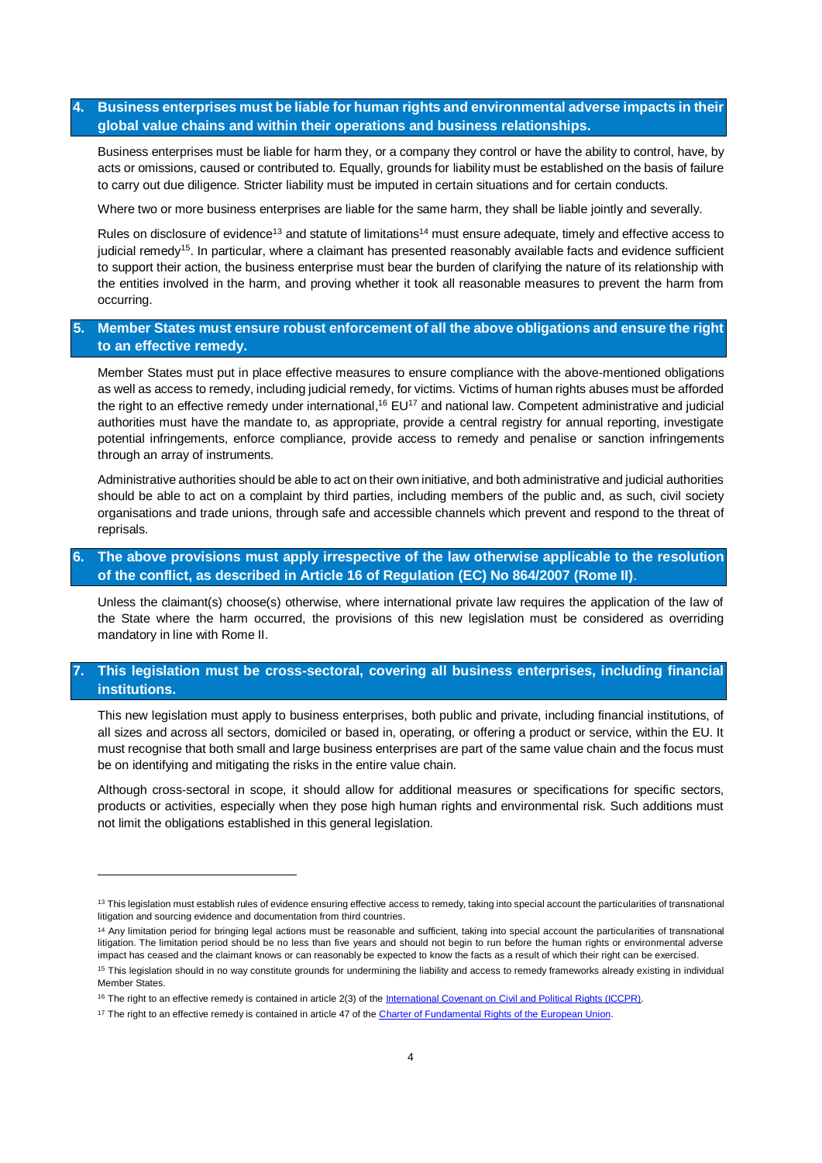# **4. Business enterprises must be liable for human rights and environmental adverse impacts in their global value chains and within their operations and business relationships.**

Business enterprises must be liable for harm they, or a company they control or have the ability to control, have, by acts or omissions, caused or contributed to. Equally, grounds for liability must be established on the basis of failure to carry out due diligence. Stricter liability must be imputed in certain situations and for certain conducts.

Where two or more business enterprises are liable for the same harm, they shall be liable jointly and severally.

Rules on disclosure of evidence<sup>13</sup> and statute of limitations<sup>14</sup> must ensure adequate, timely and effective access to judicial remedy<sup>15</sup>. In particular, where a claimant has presented reasonably available facts and evidence sufficient to support their action, the business enterprise must bear the burden of clarifying the nature of its relationship with the entities involved in the harm, and proving whether it took all reasonable measures to prevent the harm from occurring.

# **5. Member States must ensure robust enforcement of all the above obligations and ensure the right to an effective remedy.**

Member States must put in place effective measures to ensure compliance with the above-mentioned obligations as well as access to remedy, including judicial remedy, for victims. Victims of human rights abuses must be afforded the right to an effective remedy under international,<sup>16</sup> EU<sup>17</sup> and national law. Competent administrative and judicial authorities must have the mandate to, as appropriate, provide a central registry for annual reporting, investigate potential infringements, enforce compliance, provide access to remedy and penalise or sanction infringements through an array of instruments.

Administrative authorities should be able to act on their own initiative, and both administrative and judicial authorities should be able to act on a complaint by third parties, including members of the public and, as such, civil society organisations and trade unions, through safe and accessible channels which prevent and respond to the threat of reprisals.

# **6. The above provisions must apply irrespective of the law otherwise applicable to the resolution of the conflict, as described in Article 16 of Regulation (EC) No 864/2007 (Rome II)**.

Unless the claimant(s) choose(s) otherwise, where international private law requires the application of the law of the State where the harm occurred, the provisions of this new legislation must be considered as overriding mandatory in line with Rome II.

# **7. This legislation must be cross-sectoral, covering all business enterprises, including financial institutions.**

This new legislation must apply to business enterprises, both public and private, including financial institutions, of all sizes and across all sectors, domiciled or based in, operating, or offering a product or service, within the EU. It must recognise that both small and large business enterprises are part of the same value chain and the focus must be on identifying and mitigating the risks in the entire value chain.

Although cross-sectoral in scope, it should allow for additional measures or specifications for specific sectors, products or activities, especially when they pose high human rights and environmental risk. Such additions must not limit the obligations established in this general legislation.

1

<sup>&</sup>lt;sup>13</sup> This legislation must establish rules of evidence ensuring effective access to remedy, taking into special account the particularities of transnational litigation and sourcing evidence and documentation from third countries.

<sup>&</sup>lt;sup>14</sup> Any limitation period for bringing legal actions must be reasonable and sufficient, taking into special account the particularities of transnational litigation. The limitation period should be no less than five years and should not begin to run before the human rights or environmental adverse impact has ceased and the claimant knows or can reasonably be expected to know the facts as a result of which their right can be exercised. <sup>15</sup> This legislation should in no way constitute grounds for undermining the liability and access to remedy frameworks already existing in individual Member States.

<sup>&</sup>lt;sup>16</sup> The right to an effective remedy is contained in article 2(3) of th[e International Covenant on Civil and Political Rights \(ICCPR\).](http://www.info.dfat.gov.au/Info/Treaties/treaties.nsf/AllDocIDs/8B8C6AF11AFB4971CA256B6E0075FE1E)

<sup>&</sup>lt;sup>17</sup> The right to an effective remedy is contained in article 47 of th[e Charter of Fundamental Rights of the European Union.](https://www.europarl.europa.eu/charter/pdf/text_en.pdf)